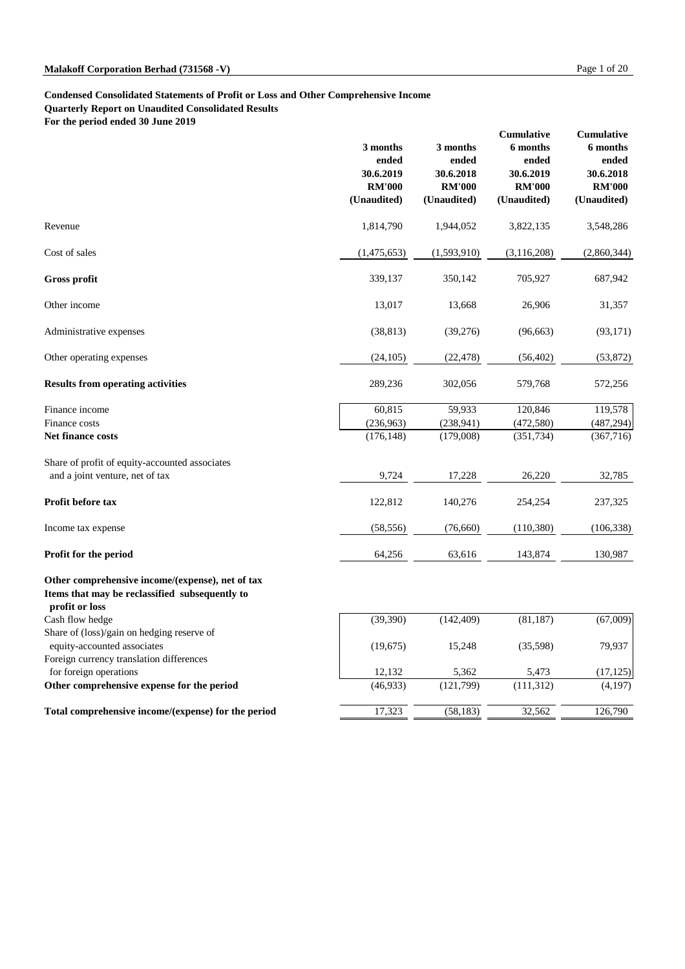### **Malakoff Corporation Berhad (731568 -V)** Page 1 of 20

### **Condensed Consolidated Statements of Profit or Loss and Other Comprehensive Income Quarterly Report on Unaudited Consolidated Results**

**For the period ended 30 June 2019**

|                                                                                                                      | 3 months<br>ended<br>30.6.2019<br><b>RM'000</b><br>(Unaudited) | 3 months<br>ended<br>30.6.2018<br><b>RM'000</b><br>(Unaudited) | <b>Cumulative</b><br>6 months<br>ended<br>30.6.2019<br><b>RM'000</b><br>(Unaudited) | <b>Cumulative</b><br>6 months<br>ended<br>30.6.2018<br><b>RM'000</b><br>(Unaudited) |
|----------------------------------------------------------------------------------------------------------------------|----------------------------------------------------------------|----------------------------------------------------------------|-------------------------------------------------------------------------------------|-------------------------------------------------------------------------------------|
| Revenue                                                                                                              | 1,814,790                                                      | 1,944,052                                                      | 3,822,135                                                                           | 3,548,286                                                                           |
| Cost of sales                                                                                                        | (1,475,653)                                                    | (1,593,910)                                                    | (3,116,208)                                                                         | (2,860,344)                                                                         |
| <b>Gross profit</b>                                                                                                  | 339,137                                                        | 350,142                                                        | 705,927                                                                             | 687,942                                                                             |
| Other income                                                                                                         | 13,017                                                         | 13,668                                                         | 26,906                                                                              | 31,357                                                                              |
| Administrative expenses                                                                                              | (38, 813)                                                      | (39,276)                                                       | (96, 663)                                                                           | (93, 171)                                                                           |
| Other operating expenses                                                                                             | (24,105)                                                       | (22, 478)                                                      | (56, 402)                                                                           | (53, 872)                                                                           |
| <b>Results from operating activities</b>                                                                             | 289,236                                                        | 302,056                                                        | 579,768                                                                             | 572,256                                                                             |
| Finance income                                                                                                       | 60,815                                                         | 59,933                                                         | 120,846                                                                             | 119,578                                                                             |
| Finance costs                                                                                                        | (236,963)                                                      | (238, 941)                                                     | (472,580)                                                                           | (487, 294)                                                                          |
| <b>Net finance costs</b>                                                                                             | (176, 148)                                                     | (179,008)                                                      | (351, 734)                                                                          | (367,716)                                                                           |
| Share of profit of equity-accounted associates                                                                       |                                                                |                                                                |                                                                                     |                                                                                     |
| and a joint venture, net of tax                                                                                      | 9,724                                                          | 17,228                                                         | 26,220                                                                              | 32,785                                                                              |
| Profit before tax                                                                                                    | 122,812                                                        | 140,276                                                        | 254,254                                                                             | 237,325                                                                             |
| Income tax expense                                                                                                   | (58, 556)                                                      | (76,660)                                                       | (110,380)                                                                           | (106, 338)                                                                          |
| Profit for the period                                                                                                | 64,256                                                         | 63,616                                                         | 143,874                                                                             | 130,987                                                                             |
| Other comprehensive income/(expense), net of tax<br>Items that may be reclassified subsequently to<br>profit or loss |                                                                |                                                                |                                                                                     |                                                                                     |
| Cash flow hedge                                                                                                      | (39,390)                                                       | (142, 409)                                                     | (81, 187)                                                                           | (67,009)                                                                            |
| Share of (loss)/gain on hedging reserve of                                                                           |                                                                |                                                                |                                                                                     |                                                                                     |
| equity-accounted associates                                                                                          | (19,675)                                                       | 15,248                                                         | (35,598)                                                                            | 79,937                                                                              |

|          | 5,362     | 5.473      | (17, 125) |
|----------|-----------|------------|-----------|
| (46,933) | (121,799) | (111, 312) | (4,197)   |
| 7.323    | (58, 183) | 32,562     | 126,790   |
|          | 12,132    |            |           |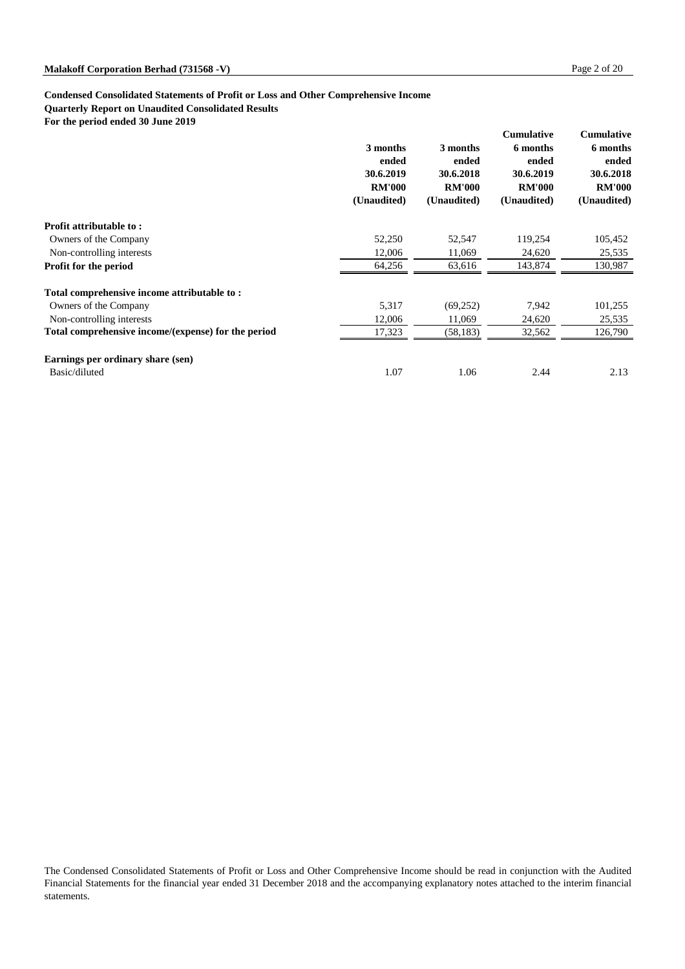## **Condensed Consolidated Statements of Profit or Loss and Other Comprehensive Income Quarterly Report on Unaudited Consolidated Results**

**For the period ended 30 June 2019**

|                                                     | 3 months<br>ended<br>30.6.2019<br><b>RM'000</b><br>(Unaudited) | 3 months<br>ended<br>30.6.2018<br><b>RM'000</b><br>(Unaudited) | <b>Cumulative</b><br>6 months<br>ended<br>30.6.2019<br><b>RM'000</b><br>(Unaudited) | <b>Cumulative</b><br>6 months<br>ended<br>30.6.2018<br><b>RM'000</b><br>(Unaudited) |
|-----------------------------------------------------|----------------------------------------------------------------|----------------------------------------------------------------|-------------------------------------------------------------------------------------|-------------------------------------------------------------------------------------|
| <b>Profit attributable to:</b>                      |                                                                |                                                                |                                                                                     |                                                                                     |
| Owners of the Company                               | 52,250                                                         | 52,547                                                         | 119,254                                                                             | 105,452                                                                             |
| Non-controlling interests                           | 12,006                                                         | 11,069                                                         | 24,620                                                                              | 25,535                                                                              |
| <b>Profit for the period</b>                        | 64,256                                                         | 63,616                                                         | 143,874                                                                             | 130,987                                                                             |
| Total comprehensive income attributable to:         |                                                                |                                                                |                                                                                     |                                                                                     |
| Owners of the Company                               | 5,317                                                          | (69,252)                                                       | 7,942                                                                               | 101,255                                                                             |
| Non-controlling interests                           | 12,006                                                         | 11,069                                                         | 24,620                                                                              | 25,535                                                                              |
| Total comprehensive income/(expense) for the period | 17,323                                                         | (58, 183)                                                      | 32,562                                                                              | 126,790                                                                             |
| Earnings per ordinary share (sen)                   |                                                                |                                                                |                                                                                     |                                                                                     |
| Basic/diluted                                       | 1.07                                                           | 1.06                                                           | 2.44                                                                                | 2.13                                                                                |

The Condensed Consolidated Statements of Profit or Loss and Other Comprehensive Income should be read in conjunction with the Audited Financial Statements for the financial year ended 31 December 2018 and the accompanying explanatory notes attached to the interim financial statements.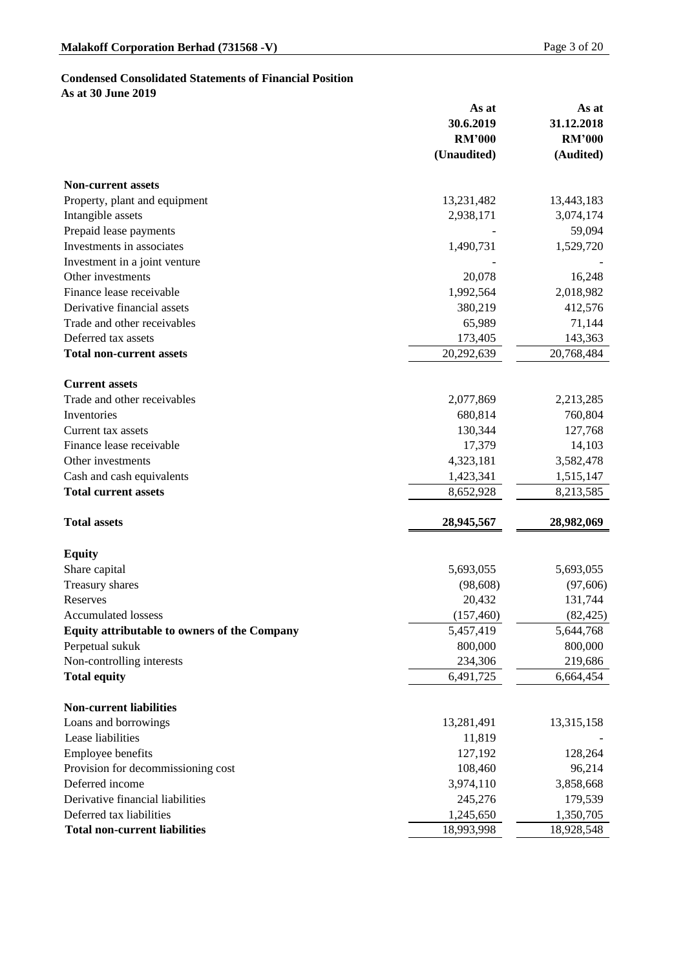# **Condensed Consolidated Statements of Financial Position**

**As at 30 June 2019**

|                                                     | As at         | As at         |
|-----------------------------------------------------|---------------|---------------|
|                                                     | 30.6.2019     | 31.12.2018    |
|                                                     | <b>RM'000</b> | <b>RM'000</b> |
|                                                     | (Unaudited)   | (Audited)     |
| <b>Non-current assets</b>                           |               |               |
| Property, plant and equipment                       | 13,231,482    | 13,443,183    |
| Intangible assets                                   | 2,938,171     | 3,074,174     |
| Prepaid lease payments                              |               | 59,094        |
| Investments in associates                           | 1,490,731     | 1,529,720     |
| Investment in a joint venture                       |               |               |
| Other investments                                   | 20,078        | 16,248        |
| Finance lease receivable                            | 1,992,564     | 2,018,982     |
| Derivative financial assets                         | 380,219       | 412,576       |
| Trade and other receivables                         | 65,989        | 71,144        |
| Deferred tax assets                                 | 173,405       | 143,363       |
| <b>Total non-current assets</b>                     | 20,292,639    | 20,768,484    |
| <b>Current assets</b>                               |               |               |
| Trade and other receivables                         | 2,077,869     | 2,213,285     |
| Inventories                                         | 680,814       | 760,804       |
| Current tax assets                                  | 130,344       | 127,768       |
| Finance lease receivable                            | 17,379        | 14,103        |
| Other investments                                   | 4,323,181     | 3,582,478     |
| Cash and cash equivalents                           | 1,423,341     | 1,515,147     |
| <b>Total current assets</b>                         | 8,652,928     | 8,213,585     |
| <b>Total assets</b>                                 | 28,945,567    | 28,982,069    |
| <b>Equity</b>                                       |               |               |
| Share capital                                       | 5,693,055     | 5,693,055     |
| <b>Treasury shares</b>                              | (98, 608)     | (97,606)      |
| Reserves                                            | 20,432        | 131,744       |
| <b>Accumulated lossess</b>                          | (157, 460)    | (82, 425)     |
| <b>Equity attributable to owners of the Company</b> | 5,457,419     | 5,644,768     |
| Perpetual sukuk                                     | 800,000       | 800,000       |
| Non-controlling interests                           | 234,306       | 219,686       |
| <b>Total equity</b>                                 | 6,491,725     | 6,664,454     |
| <b>Non-current liabilities</b>                      |               |               |
| Loans and borrowings                                | 13,281,491    | 13,315,158    |
| Lease liabilities                                   | 11,819        |               |
| <b>Employee benefits</b>                            | 127,192       | 128,264       |

| Provision for decommissioning cost   | 108,460    | 96,214     |
|--------------------------------------|------------|------------|
| Deferred income                      | 3,974,110  | 3,858,668  |
| Derivative financial liabilities     | 245,276    | 179,539    |
| Deferred tax liabilities             | 1,245,650  | 1,350,705  |
| <b>Total non-current liabilities</b> | 18,993,998 | 18,928,548 |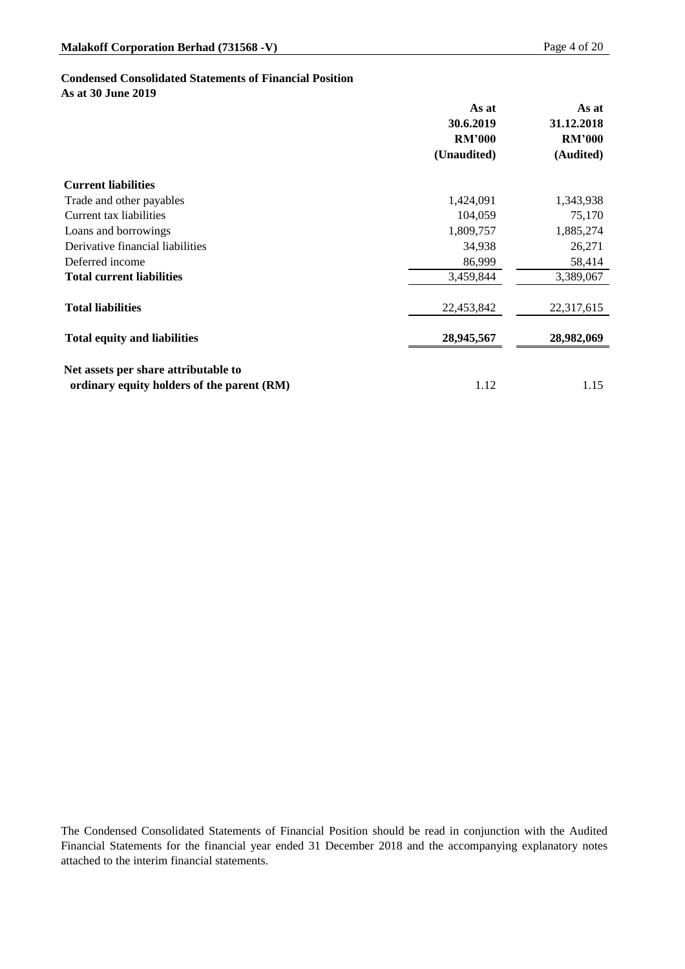### **Condensed Consolidated Statements of Financial Position**

**As at 30 June 2019**

|                                            | As at         | As at         |
|--------------------------------------------|---------------|---------------|
|                                            | 30.6.2019     | 31.12.2018    |
|                                            | <b>RM'000</b> | <b>RM'000</b> |
|                                            | (Unaudited)   | (Audited)     |
| <b>Current liabilities</b>                 |               |               |
| Trade and other payables                   | 1,424,091     | 1,343,938     |
| Current tax liabilities                    | 104,059       | 75,170        |
| Loans and borrowings                       | 1,809,757     | 1,885,274     |
| Derivative financial liabilities           | 34,938        | 26,271        |
| Deferred income                            | 86,999        | 58,414        |
| <b>Total current liabilities</b>           | 3,459,844     | 3,389,067     |
| <b>Total liabilities</b>                   | 22,453,842    | 22,317,615    |
| <b>Total equity and liabilities</b>        | 28,945,567    | 28,982,069    |
| Net assets per share attributable to       |               |               |
| ordinary equity holders of the parent (RM) | 1.12          | 1.15          |

The Condensed Consolidated Statements of Financial Position should be read in conjunction with the Audited Financial Statements for the financial year ended 31 December 2018 and the accompanying explanatory notes attached to the interim financial statements.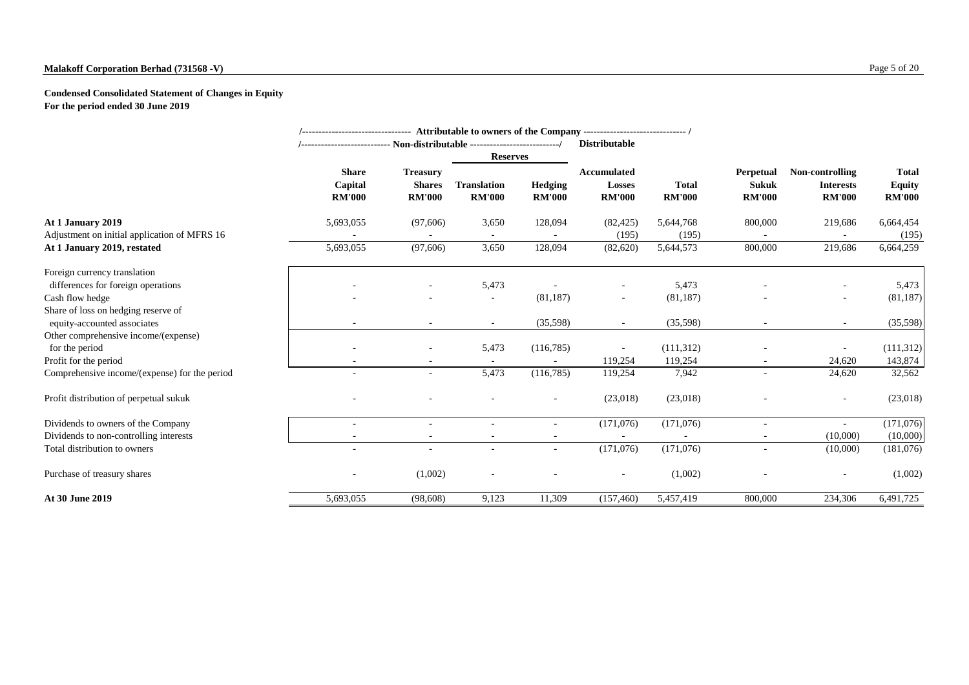### **Malakoff Corporation Berhad (731568 -V)** Page 5 of 20

### **Condensed Consolidated Statement of Changes in Equity For the period ended 30 June 2019**

|                                                                    |                                                                             |                                                   | /-------------------------------- Attributable to owners of the Company ------------------------------- / |                                 |                                                      |                               |                                                   |                                                      |                                                |
|--------------------------------------------------------------------|-----------------------------------------------------------------------------|---------------------------------------------------|-----------------------------------------------------------------------------------------------------------|---------------------------------|------------------------------------------------------|-------------------------------|---------------------------------------------------|------------------------------------------------------|------------------------------------------------|
|                                                                    | /--------------------------- Non-distributable ---------------------------/ |                                                   |                                                                                                           |                                 | <b>Distributable</b>                                 |                               |                                                   |                                                      |                                                |
|                                                                    |                                                                             |                                                   | <b>Reserves</b>                                                                                           |                                 |                                                      |                               |                                                   |                                                      |                                                |
|                                                                    | <b>Share</b><br>Capital<br><b>RM'000</b>                                    | <b>Treasury</b><br><b>Shares</b><br><b>RM'000</b> | <b>Translation</b><br><b>RM'000</b>                                                                       | <b>Hedging</b><br><b>RM'000</b> | <b>Accumulated</b><br><b>Losses</b><br><b>RM'000</b> | <b>Total</b><br><b>RM'000</b> | <b>Perpetual</b><br><b>Sukuk</b><br><b>RM'000</b> | Non-controlling<br><b>Interests</b><br><b>RM'000</b> | <b>Total</b><br><b>Equity</b><br><b>RM'000</b> |
| At 1 January 2019                                                  | 5,693,055                                                                   | (97,606)                                          | 3,650                                                                                                     | 128,094                         | (82, 425)                                            | 5,644,768                     | 800,000                                           | 219,686                                              | 6,664,454                                      |
| Adjustment on initial application of MFRS 16                       |                                                                             |                                                   | $\sim$                                                                                                    |                                 | (195)                                                | (195)                         |                                                   |                                                      | (195)                                          |
| At 1 January 2019, restated                                        | 5,693,055                                                                   | (97,606)                                          | 3,650                                                                                                     | 128,094                         | (82, 620)                                            | 5,644,573                     | 800,000                                           | 219,686                                              | 6,664,259                                      |
| Foreign currency translation                                       |                                                                             |                                                   |                                                                                                           |                                 |                                                      |                               |                                                   |                                                      |                                                |
| differences for foreign operations                                 |                                                                             |                                                   | 5,473                                                                                                     |                                 |                                                      | 5,473                         |                                                   |                                                      | 5,473                                          |
| Cash flow hedge                                                    |                                                                             |                                                   | $\sim$                                                                                                    | (81, 187)                       | $\sim$                                               | (81, 187)                     |                                                   |                                                      | (81, 187)                                      |
| Share of loss on hedging reserve of<br>equity-accounted associates | $\sim$                                                                      | $\overline{\phantom{a}}$                          | $\sim$                                                                                                    | (35,598)                        | $\sim$                                               | (35,598)                      |                                                   | $\sim$                                               | (35,598)                                       |
| Other comprehensive income/(expense)                               |                                                                             |                                                   |                                                                                                           |                                 |                                                      |                               |                                                   |                                                      |                                                |
| for the period                                                     | $\overline{\phantom{a}}$                                                    | $\sim$                                            | 5,473                                                                                                     | (116,785)                       |                                                      | (111,312)                     |                                                   | $\overline{\phantom{a}}$                             | (111,312)                                      |
| Profit for the period                                              |                                                                             |                                                   |                                                                                                           |                                 | 119,254                                              | 119,254                       |                                                   | 24,620                                               | 143,874                                        |
| Comprehensive income/(expense) for the period                      | $\overline{\phantom{a}}$                                                    | $\sim$                                            | 5,473                                                                                                     | (116,785)                       | 119,254                                              | 7,942                         |                                                   | 24,620                                               | 32,562                                         |
| Profit distribution of perpetual sukuk                             |                                                                             |                                                   |                                                                                                           |                                 | (23,018)                                             | (23,018)                      |                                                   | $\sim$                                               | (23,018)                                       |
| Dividends to owners of the Company                                 | $\overline{\phantom{a}}$                                                    |                                                   |                                                                                                           |                                 | (171,076)                                            | (171, 076)                    |                                                   |                                                      | (171,076)                                      |
| Dividends to non-controlling interests                             |                                                                             |                                                   |                                                                                                           |                                 |                                                      |                               |                                                   | (10,000)                                             | (10,000)                                       |
| Total distribution to owners                                       | $\overline{\phantom{a}}$                                                    | $\overline{\phantom{a}}$                          |                                                                                                           |                                 | (171,076)                                            | (171,076)                     |                                                   | (10,000)                                             | (181,076)                                      |
| Purchase of treasury shares                                        | $\overline{\phantom{a}}$                                                    | (1,002)                                           | $\overline{\phantom{a}}$                                                                                  |                                 | $\equiv$                                             | (1,002)                       |                                                   | $\sim$                                               | (1,002)                                        |
| At 30 June 2019                                                    | 5,693,055                                                                   | (98, 608)                                         | 9,123                                                                                                     | 11,309                          | (157, 460)                                           | 5,457,419                     | 800,000                                           | 234,306                                              | 6,491,725                                      |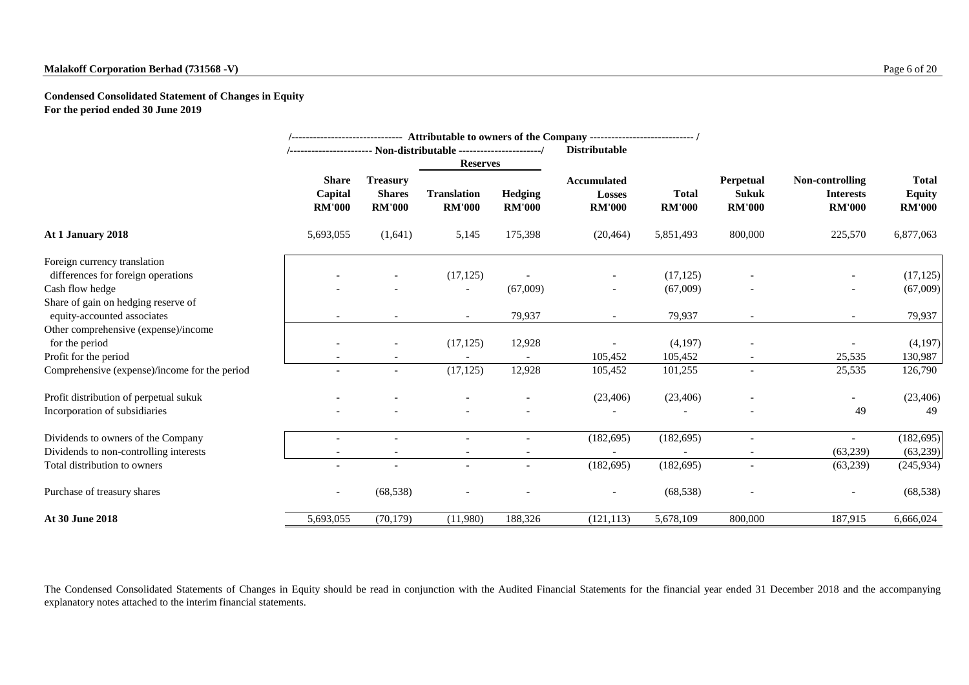### **Malakoff Corporation Berhad (731568 -V)** Page 6 of 20

**Condensed Consolidated Statement of Changes in Equity For the period ended 30 June 2019**

|                                               |                                          |                                                   |                                     |                                 | /------------------------------ Attributable to owners of the Company ---------------------------- / |                               |                                                   |                                                      |                                                |
|-----------------------------------------------|------------------------------------------|---------------------------------------------------|-------------------------------------|---------------------------------|------------------------------------------------------------------------------------------------------|-------------------------------|---------------------------------------------------|------------------------------------------------------|------------------------------------------------|
|                                               |                                          |                                                   | <b>Reserves</b>                     |                                 | <b>Distributable</b>                                                                                 |                               |                                                   |                                                      |                                                |
|                                               | <b>Share</b><br>Capital<br><b>RM'000</b> | <b>Treasury</b><br><b>Shares</b><br><b>RM'000</b> | <b>Translation</b><br><b>RM'000</b> | <b>Hedging</b><br><b>RM'000</b> | <b>Accumulated</b><br><b>Losses</b><br><b>RM'000</b>                                                 | <b>Total</b><br><b>RM'000</b> | <b>Perpetual</b><br><b>Sukuk</b><br><b>RM'000</b> | Non-controlling<br><b>Interests</b><br><b>RM'000</b> | <b>Total</b><br><b>Equity</b><br><b>RM'000</b> |
| At 1 January 2018                             | 5,693,055                                | (1,641)                                           | 5,145                               | 175,398                         | (20, 464)                                                                                            | 5,851,493                     | 800,000                                           | 225,570                                              | 6,877,063                                      |
| Foreign currency translation                  |                                          |                                                   |                                     |                                 |                                                                                                      |                               |                                                   |                                                      |                                                |
| differences for foreign operations            |                                          |                                                   | (17, 125)                           |                                 |                                                                                                      | (17, 125)                     |                                                   | -                                                    | (17, 125)                                      |
| Cash flow hedge                               |                                          |                                                   |                                     | (67,009)                        |                                                                                                      | (67,009)                      |                                                   | -                                                    | (67,009)                                       |
| Share of gain on hedging reserve of           |                                          |                                                   |                                     |                                 |                                                                                                      |                               |                                                   |                                                      |                                                |
| equity-accounted associates                   |                                          |                                                   | $\overline{\phantom{a}}$            | 79,937                          |                                                                                                      | 79,937                        |                                                   | $\overline{\phantom{a}}$                             | 79,937                                         |
| Other comprehensive (expense)/income          |                                          |                                                   |                                     |                                 |                                                                                                      |                               |                                                   |                                                      |                                                |
| for the period                                |                                          |                                                   | (17, 125)                           | 12,928                          |                                                                                                      | (4,197)                       |                                                   |                                                      | (4,197)                                        |
| Profit for the period                         |                                          |                                                   |                                     |                                 | 105,452                                                                                              | 105,452                       |                                                   | 25,535                                               | 130,987                                        |
| Comprehensive (expense)/income for the period |                                          | $\overline{\phantom{a}}$                          | (17, 125)                           | 12,928                          | 105,452                                                                                              | 101,255                       | $\overline{\phantom{a}}$                          | 25,535                                               | 126,790                                        |
| Profit distribution of perpetual sukuk        |                                          |                                                   |                                     |                                 | (23,406)                                                                                             | (23, 406)                     |                                                   | $\overline{\phantom{a}}$                             | (23, 406)                                      |
| Incorporation of subsidiaries                 |                                          |                                                   |                                     |                                 |                                                                                                      |                               |                                                   | 49                                                   | 49                                             |
| Dividends to owners of the Company            |                                          |                                                   |                                     |                                 | (182, 695)                                                                                           | (182, 695)                    |                                                   |                                                      | (182, 695)                                     |
| Dividends to non-controlling interests        |                                          |                                                   |                                     |                                 |                                                                                                      |                               |                                                   | (63,239)                                             | (63,239)                                       |
| Total distribution to owners                  |                                          |                                                   |                                     |                                 | (182, 695)                                                                                           | (182, 695)                    | $\overline{\phantom{a}}$                          | (63,239)                                             | (245, 934)                                     |
| Purchase of treasury shares                   | $\overline{\phantom{a}}$                 | (68, 538)                                         |                                     |                                 | $\overline{\phantom{a}}$                                                                             | (68, 538)                     | $\overline{\phantom{a}}$                          | $\overline{\phantom{a}}$                             | (68, 538)                                      |
| At 30 June 2018                               | 5,693,055                                | (70, 179)                                         | (11,980)                            | 188,326                         | (121, 113)                                                                                           | 5,678,109                     | 800,000                                           | 187,915                                              | 6,666,024                                      |

The Condensed Consolidated Statements of Changes in Equity should be read in conjunction with the Audited Financial Statements for the financial year ended 31 December 2018 and the accompanying explanatory notes attached to the interim financial statements.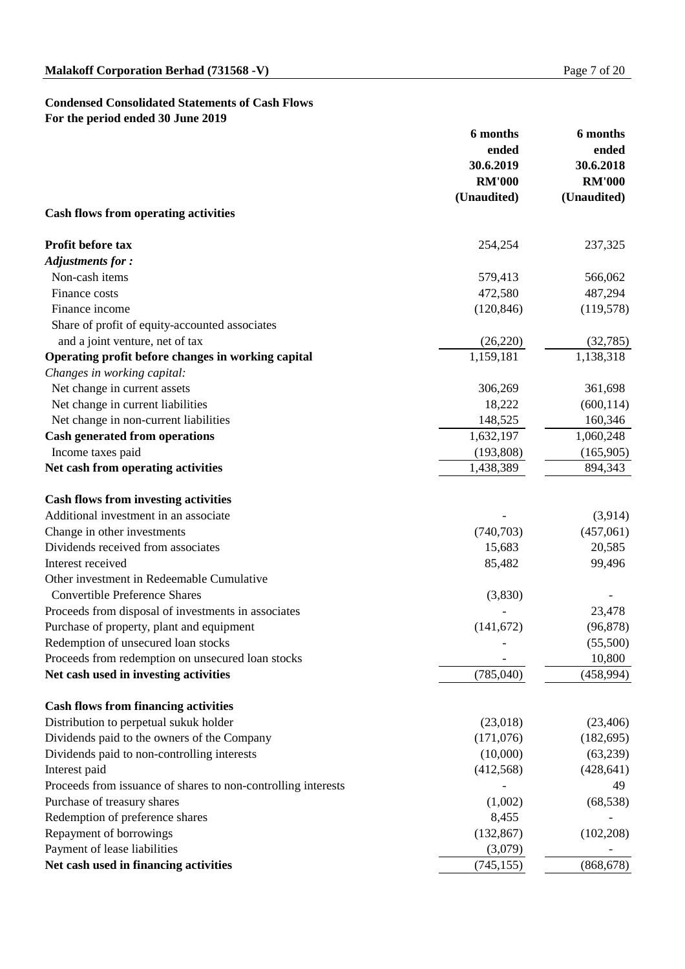### **Condensed Consolidated Statements of Cash Flows For the period ended 30 June 2019**

|                                                               | 6 months      | <b>6</b> months |  |
|---------------------------------------------------------------|---------------|-----------------|--|
|                                                               | ended         | ended           |  |
|                                                               | 30.6.2019     | 30.6.2018       |  |
|                                                               | <b>RM'000</b> | <b>RM'000</b>   |  |
|                                                               | (Unaudited)   | (Unaudited)     |  |
| <b>Cash flows from operating activities</b>                   |               |                 |  |
| <b>Profit before tax</b>                                      | 254,254       | 237,325         |  |
| <b>Adjustments for:</b>                                       |               |                 |  |
| Non-cash items                                                | 579,413       | 566,062         |  |
| Finance costs                                                 | 472,580       | 487,294         |  |
| Finance income                                                | (120, 846)    | (119, 578)      |  |
| Share of profit of equity-accounted associates                |               |                 |  |
| and a joint venture, net of tax                               | (26,220)      | (32, 785)       |  |
| Operating profit before changes in working capital            | 1,159,181     | 1,138,318       |  |
| Changes in working capital:                                   |               |                 |  |
|                                                               | 306,269       |                 |  |
| Net change in current assets                                  |               | 361,698         |  |
| Net change in current liabilities                             | 18,222        | (600, 114)      |  |
| Net change in non-current liabilities                         | 148,525       | 160,346         |  |
| <b>Cash generated from operations</b>                         | 1,632,197     | 1,060,248       |  |
| Income taxes paid                                             | (193,808)     | (165,905)       |  |
| Net cash from operating activities                            | 1,438,389     | 894,343         |  |
| <b>Cash flows from investing activities</b>                   |               |                 |  |
| Additional investment in an associate                         |               | (3,914)         |  |
| Change in other investments                                   | (740, 703)    | (457,061)       |  |
| Dividends received from associates                            | 15,683        | 20,585          |  |
| Interest received                                             | 85,482        | 99,496          |  |
| Other investment in Redeemable Cumulative                     |               |                 |  |
| <b>Convertible Preference Shares</b>                          | (3,830)       |                 |  |
| Proceeds from disposal of investments in associates           |               | 23,478          |  |
| Purchase of property, plant and equipment                     | (141, 672)    | (96, 878)       |  |
| Redemption of unsecured loan stocks                           |               | (55,500)        |  |
| Proceeds from redemption on unsecured loan stocks             |               | 10,800          |  |
| Net cash used in investing activities                         | (785,040)     | (458, 994)      |  |
|                                                               |               |                 |  |
| <b>Cash flows from financing activities</b>                   |               |                 |  |
| Distribution to perpetual sukuk holder                        | (23,018)      | (23, 406)       |  |
| Dividends paid to the owners of the Company                   | (171, 076)    | (182, 695)      |  |
| Dividends paid to non-controlling interests                   | (10,000)      | (63,239)        |  |
| Interest paid                                                 | (412,568)     | (428, 641)      |  |
| Proceeds from issuance of shares to non-controlling interests |               | 49              |  |
| Purchase of treasury shares                                   | (1,002)       | (68, 538)       |  |
| Redemption of preference shares                               | 8,455         |                 |  |
| Repayment of borrowings                                       | (132, 867)    | (102, 208)      |  |
| Payment of lease liabilities                                  | (3,079)       |                 |  |
| Net cash used in financing activities                         | (745, 155)    | (868, 678)      |  |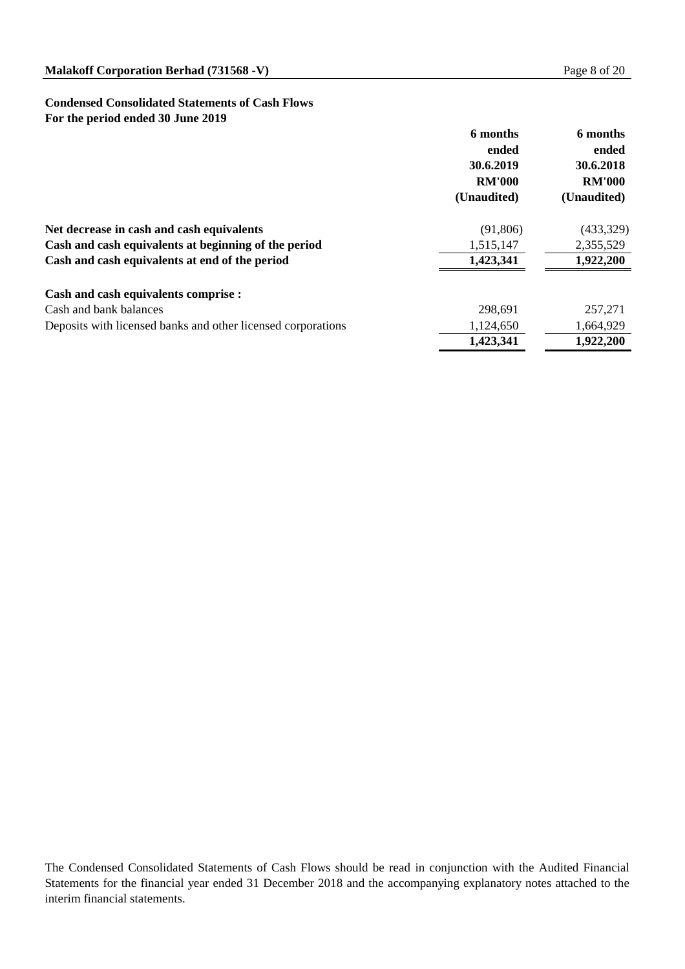### **Condensed Consolidated Statements of Cash Flows For the period ended 30 June 2019**

|                                                              | 6 months<br>ended<br>30.6.2019<br><b>RM'000</b><br>(Unaudited) | 6 months<br>ended<br>30.6.2018<br><b>RM'000</b><br>(Unaudited) |
|--------------------------------------------------------------|----------------------------------------------------------------|----------------------------------------------------------------|
| Net decrease in cash and cash equivalents                    | (91,806)                                                       | (433,329)                                                      |
| Cash and cash equivalents at beginning of the period         | 1,515,147                                                      | 2,355,529                                                      |
| Cash and cash equivalents at end of the period               | 1,423,341                                                      | 1,922,200                                                      |
| <b>Cash and cash equivalents comprise :</b>                  |                                                                |                                                                |
| Cash and bank balances                                       | 298,691                                                        | 257,271                                                        |
| Deposits with licensed banks and other licensed corporations | 1,124,650                                                      | 1,664,929                                                      |
|                                                              | 1,423,341                                                      | 1,922,200                                                      |

The Condensed Consolidated Statements of Cash Flows should be read in conjunction with the Audited Financial Statements for the financial year ended 31 December 2018 and the accompanying explanatory notes attached to the interim financial statements.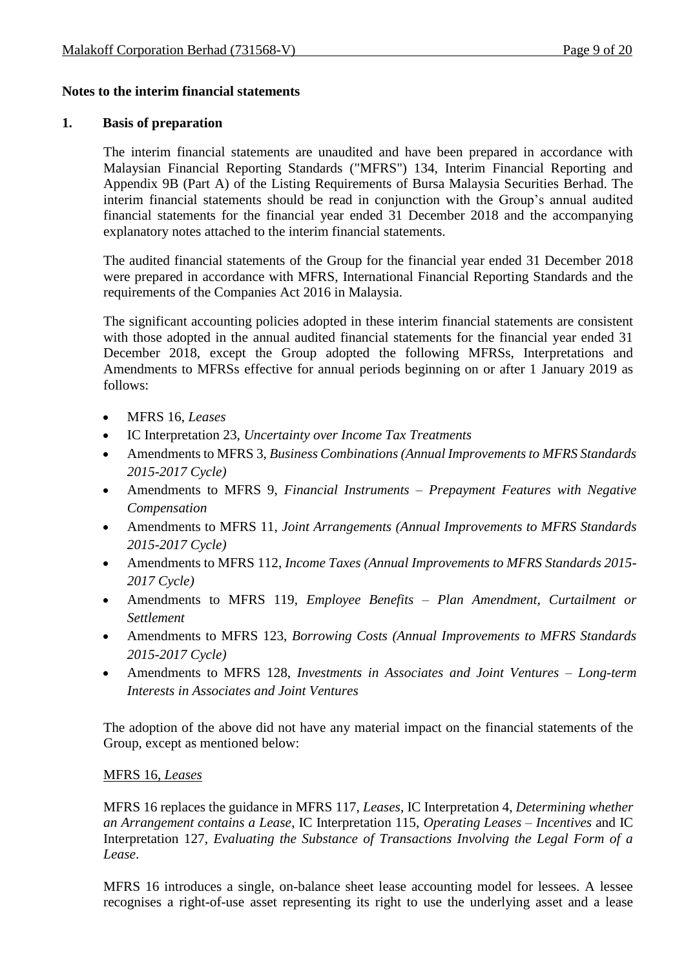#### **Notes to the interim financial statements**

#### **1. Basis of preparation**

The interim financial statements are unaudited and have been prepared in accordance with Malaysian Financial Reporting Standards ("MFRS") 134, Interim Financial Reporting and Appendix 9B (Part A) of the Listing Requirements of Bursa Malaysia Securities Berhad. The interim financial statements should be read in conjunction with the Group's annual audited financial statements for the financial year ended 31 December 2018 and the accompanying explanatory notes attached to the interim financial statements.

The audited financial statements of the Group for the financial year ended 31 December 2018 were prepared in accordance with MFRS, International Financial Reporting Standards and the requirements of the Companies Act 2016 in Malaysia.

The significant accounting policies adopted in these interim financial statements are consistent with those adopted in the annual audited financial statements for the financial year ended 31 December 2018, except the Group adopted the following MFRSs, Interpretations and Amendments to MFRSs effective for annual periods beginning on or after 1 January 2019 as follows:

- MFRS 16, *Leases*
- IC Interpretation 23, *Uncertainty over Income Tax Treatments*
- Amendments to MFRS 3, *Business Combinations (Annual Improvements to MFRS Standards 2015-2017 Cycle)*
- Amendments to MFRS 9, *Financial Instruments – Prepayment Features with Negative Compensation*
- Amendments to MFRS 11, *Joint Arrangements (Annual Improvements to MFRS Standards 2015-2017 Cycle)*
- Amendments to MFRS 112, *Income Taxes (Annual Improvements to MFRS Standards 2015- 2017 Cycle)*
- Amendments to MFRS 119, *Employee Benefits – Plan Amendment, Curtailment or Settlement*
- Amendments to MFRS 123, *Borrowing Costs (Annual Improvements to MFRS Standards 2015-2017 Cycle)*
- Amendments to MFRS 128, *Investments in Associates and Joint Ventures – Long-term Interests in Associates and Joint Ventures*

The adoption of the above did not have any material impact on the financial statements of the Group, except as mentioned below:

#### MFRS 16, *Leases*

MFRS 16 replaces the guidance in MFRS 117, *Leases*, IC Interpretation 4, *Determining whether an Arrangement contains a Lease*, IC Interpretation 115, *Operating Leases – Incentives* and IC Interpretation 127, *Evaluating the Substance of Transactions Involving the Legal Form of a Lease*.

MFRS 16 introduces a single, on-balance sheet lease accounting model for lessees. A lessee recognises a right-of-use asset representing its right to use the underlying asset and a lease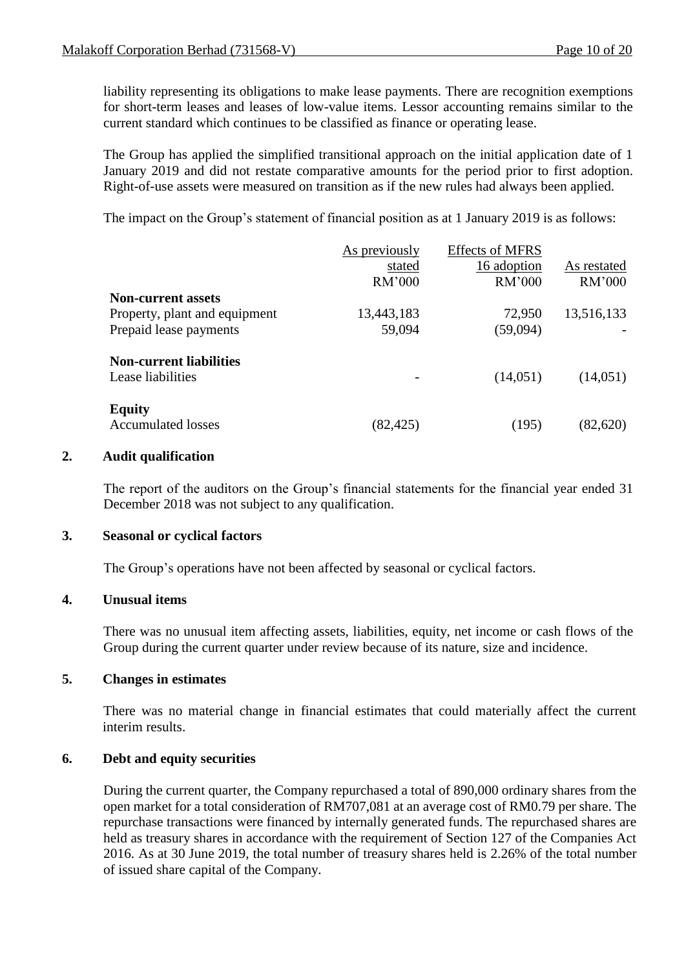liability representing its obligations to make lease payments. There are recognition exemptions for short-term leases and leases of low-value items. Lessor accounting remains similar to the current standard which continues to be classified as finance or operating lease.

The Group has applied the simplified transitional approach on the initial application date of 1 January 2019 and did not restate comparative amounts for the period prior to first adoption. Right-of-use assets were measured on transition as if the new rules had always been applied.

The impact on the Group's statement of financial position as at 1 January 2019 is as follows:

|                                | As previously | <b>Effects of MFRS</b> |             |
|--------------------------------|---------------|------------------------|-------------|
|                                | stated        | 16 adoption            | As restated |
|                                | RM'000        | RM'000                 | RM'000      |
| <b>Non-current assets</b>      |               |                        |             |
| Property, plant and equipment  | 13,443,183    | 72,950                 | 13,516,133  |
| Prepaid lease payments         | 59,094        | (59,094)               |             |
| <b>Non-current liabilities</b> |               |                        |             |
| Lease liabilities              |               | (14,051)               | (14,051)    |
| <b>Equity</b>                  |               |                        |             |
| <b>Accumulated losses</b>      | (82, 425)     | (195)                  | (82,620)    |

#### **2. Audit qualification**

The report of the auditors on the Group's financial statements for the financial year ended 31 December 2018 was not subject to any qualification.

#### **3. Seasonal or cyclical factors**

The Group's operations have not been affected by seasonal or cyclical factors.

#### **4. Unusual items**

There was no unusual item affecting assets, liabilities, equity, net income or cash flows of the Group during the current quarter under review because of its nature, size and incidence.

#### **5. Changes in estimates**

There was no material change in financial estimates that could materially affect the current interim results.

#### **6. Debt and equity securities**

During the current quarter, the Company repurchased a total of 890,000 ordinary shares from the open market for a total consideration of RM707,081 at an average cost of RM0.79 per share. The repurchase transactions were financed by internally generated funds. The repurchased shares are held as treasury shares in accordance with the requirement of Section 127 of the Companies Act 2016. As at 30 June 2019, the total number of treasury shares held is 2.26% of the total number of issued share capital of the Company.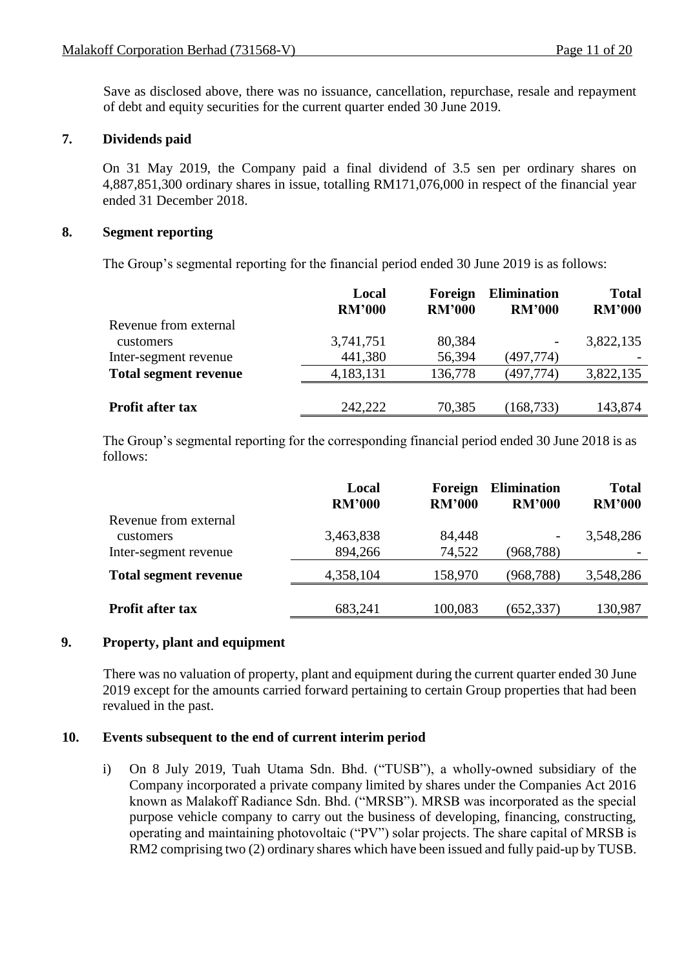Save as disclosed above, there was no issuance, cancellation, repurchase, resale and repayment of debt and equity securities for the current quarter ended 30 June 2019.

#### **7. Dividends paid**

On 31 May 2019, the Company paid a final dividend of 3.5 sen per ordinary shares on 4,887,851,300 ordinary shares in issue, totalling RM171,076,000 in respect of the financial year ended 31 December 2018.

#### **8. Segment reporting**

The Group's segmental reporting for the financial period ended 30 June 2019 is as follows:

|                              | Local<br><b>RM'000</b> | Foreign<br><b>RM'000</b> | <b>Elimination</b><br><b>RM'000</b> | <b>Total</b><br><b>RM'000</b> |
|------------------------------|------------------------|--------------------------|-------------------------------------|-------------------------------|
| Revenue from external        |                        |                          |                                     |                               |
| customers                    | 3,741,751              | 80,384                   | -                                   | 3,822,135                     |
| Inter-segment revenue        | 441,380                | 56,394                   | (497,774)                           |                               |
| <b>Total segment revenue</b> | 4,183,131              | 136,778                  | (497, 774)                          | 3,822,135                     |
|                              |                        |                          |                                     |                               |
| <b>Profit after tax</b>      | 242,222                | 70,385                   | 168,733                             | 143,874                       |

The Group's segmental reporting for the corresponding financial period ended 30 June 2018 is as follows:

|                                           | Local<br><b>RM'000</b> | Foreign<br><b>RM'000</b> | <b>Elimination</b><br><b>RM'000</b> | <b>Total</b><br><b>RM'000</b> |
|-------------------------------------------|------------------------|--------------------------|-------------------------------------|-------------------------------|
| Revenue from external<br><b>customers</b> | 3,463,838              | 84,448                   | $\overline{\phantom{a}}$            | 3,548,286                     |
| Inter-segment revenue                     | 894,266                | 74,522                   | (968, 788)                          |                               |
| <b>Total segment revenue</b>              | 4,358,104              | 158,970                  | (968, 788)                          | 3,548,286                     |
| <b>Profit after tax</b>                   | 683,241                | 100,083                  | (652, 337)                          | 130,987                       |

#### **9. Property, plant and equipment**

There was no valuation of property, plant and equipment during the current quarter ended 30 June 2019 except for the amounts carried forward pertaining to certain Group properties that had been revalued in the past.

#### **10. Events subsequent to the end of current interim period**

i) On 8 July 2019, Tuah Utama Sdn. Bhd. ("TUSB"), a wholly-owned subsidiary of the Company incorporated a private company limited by shares under the Companies Act 2016 known as Malakoff Radiance Sdn. Bhd. ("MRSB"). MRSB was incorporated as the special purpose vehicle company to carry out the business of developing, financing, constructing, operating and maintaining photovoltaic ("PV") solar projects. The share capital of MRSB is RM2 comprising two (2) ordinary shares which have been issued and fully paid-up by TUSB.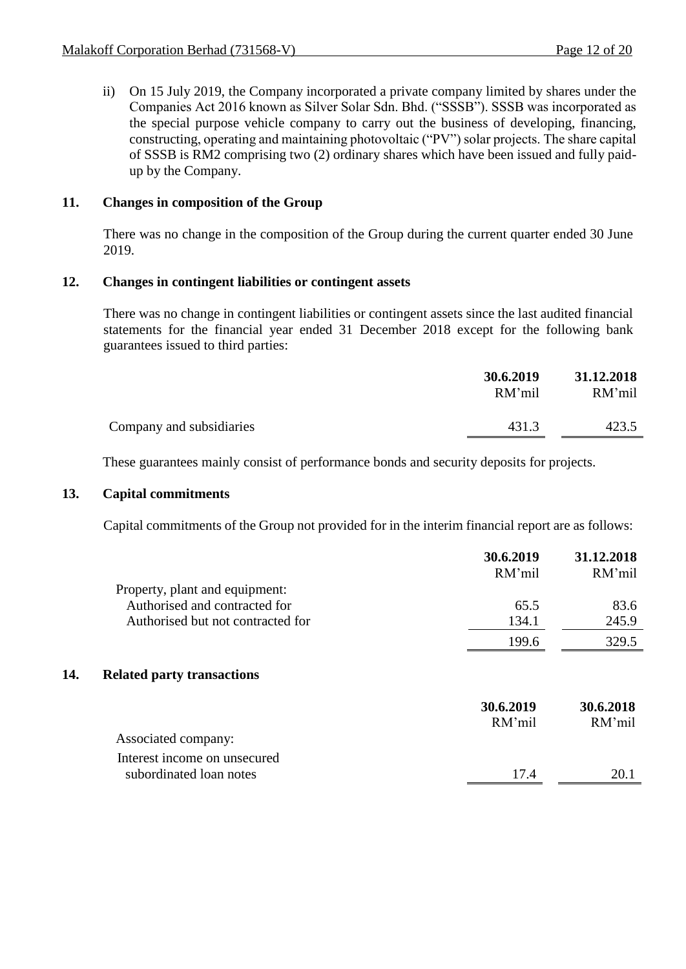ii) On 15 July 2019, the Company incorporated a private company limited by shares under the Companies Act 2016 known as Silver Solar Sdn. Bhd. ("SSSB"). SSSB was incorporated as the special purpose vehicle company to carry out the business of developing, financing, constructing, operating and maintaining photovoltaic ("PV") solar projects. The share capital of SSSB is RM2 comprising two (2) ordinary shares which have been issued and fully paidup by the Company.

#### **11. Changes in composition of the Group**

There was no change in the composition of the Group during the current quarter ended 30 June 2019.

#### **12. Changes in contingent liabilities or contingent assets**

There was no change in contingent liabilities or contingent assets since the last audited financial statements for the financial year ended 31 December 2018 except for the following bank guarantees issued to third parties:

|                          | 30.6.2019<br>RM'mil | 31.12.2018<br>RM'mil |
|--------------------------|---------------------|----------------------|
| Company and subsidiaries | 431.3               | 423.5                |

These guarantees mainly consist of performance bonds and security deposits for projects.

#### **13. Capital commitments**

Capital commitments of the Group not provided for in the interim financial report are as follows:

|     |                                   | 30.6.2019<br>RM'mil | 31.12.2018<br>RM'mil |
|-----|-----------------------------------|---------------------|----------------------|
|     | Property, plant and equipment:    |                     |                      |
|     | Authorised and contracted for     | 65.5                | 83.6                 |
|     | Authorised but not contracted for | 134.1               | 245.9                |
|     |                                   | 199.6               | 329.5                |
| 14. | <b>Related party transactions</b> |                     |                      |
|     |                                   | 30.6.2019<br>RM'mil | 30.6.2018<br>RM'mil  |
|     | Associated company:               |                     |                      |
|     | Interest income on unsecured      |                     |                      |
|     | subordinated loan notes           | 17.4                | 20.1                 |
|     |                                   |                     |                      |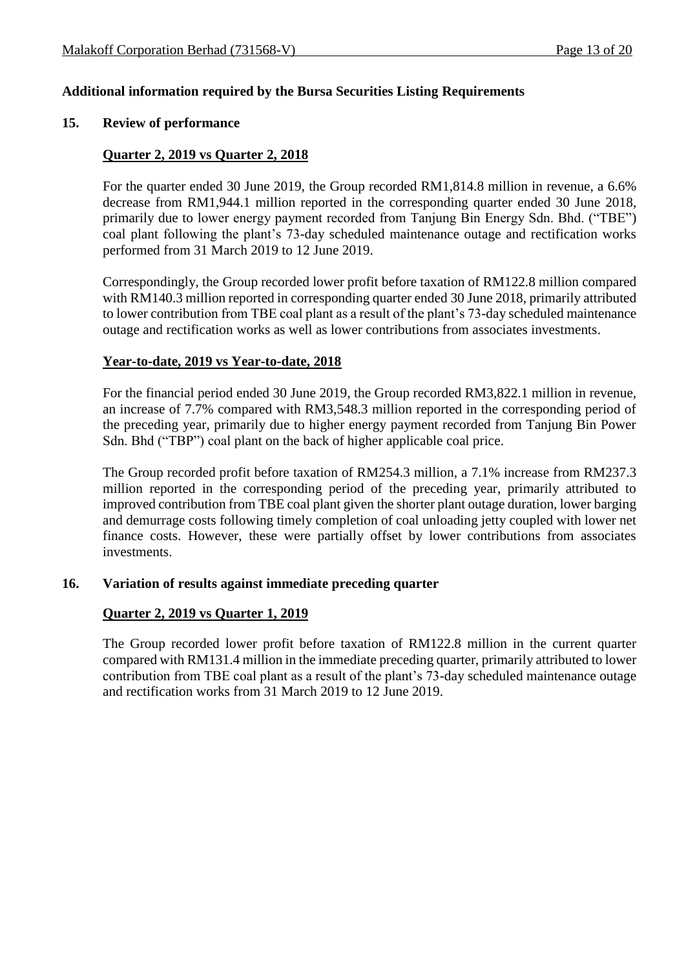#### **Additional information required by the Bursa Securities Listing Requirements**

#### **15. Review of performance**

#### **Quarter 2, 2019 vs Quarter 2, 2018**

For the quarter ended 30 June 2019, the Group recorded RM1,814.8 million in revenue, a 6.6% decrease from RM1,944.1 million reported in the corresponding quarter ended 30 June 2018, primarily due to lower energy payment recorded from Tanjung Bin Energy Sdn. Bhd. ("TBE") coal plant following the plant's 73-day scheduled maintenance outage and rectification works performed from 31 March 2019 to 12 June 2019.

Correspondingly, the Group recorded lower profit before taxation of RM122.8 million compared with RM140.3 million reported in corresponding quarter ended 30 June 2018, primarily attributed to lower contribution from TBE coal plant as a result of the plant's 73-day scheduled maintenance outage and rectification works as well as lower contributions from associates investments.

#### **Year-to-date, 2019 vs Year-to-date, 2018**

For the financial period ended 30 June 2019, the Group recorded RM3,822.1 million in revenue, an increase of 7.7% compared with RM3,548.3 million reported in the corresponding period of the preceding year, primarily due to higher energy payment recorded from Tanjung Bin Power Sdn. Bhd ("TBP") coal plant on the back of higher applicable coal price.

The Group recorded profit before taxation of RM254.3 million, a 7.1% increase from RM237.3 million reported in the corresponding period of the preceding year, primarily attributed to improved contribution from TBE coal plant given the shorter plant outage duration, lower barging and demurrage costs following timely completion of coal unloading jetty coupled with lower net finance costs. However, these were partially offset by lower contributions from associates investments.

#### **16. Variation of results against immediate preceding quarter**

#### **Quarter 2, 2019 vs Quarter 1, 2019**

The Group recorded lower profit before taxation of RM122.8 million in the current quarter compared with RM131.4 million in the immediate preceding quarter, primarily attributed to lower contribution from TBE coal plant as a result of the plant's 73-day scheduled maintenance outage and rectification works from 31 March 2019 to 12 June 2019.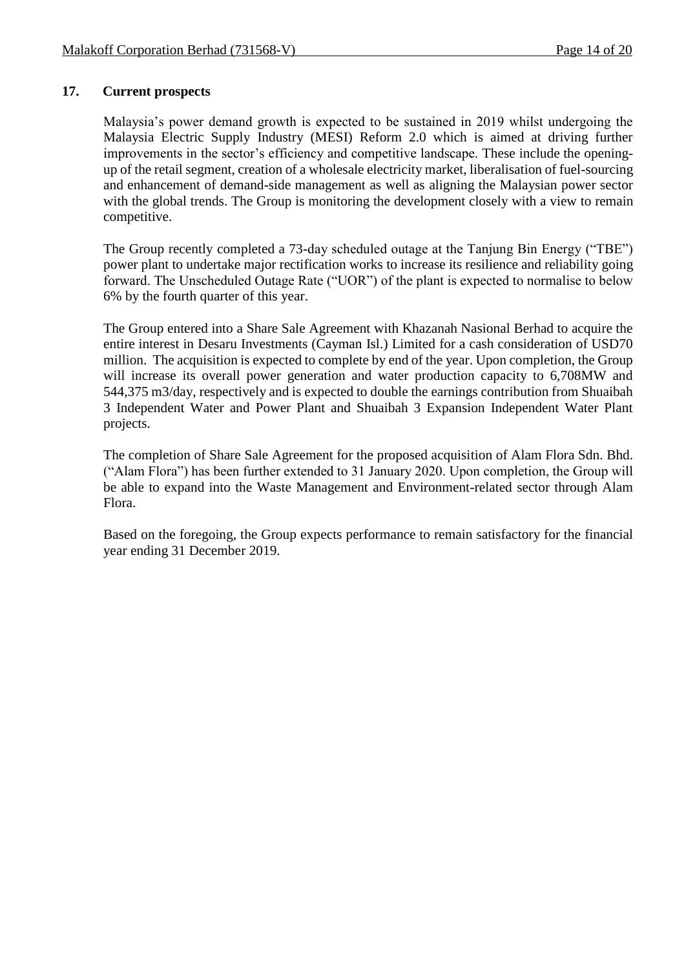#### **17. Current prospects**

Malaysia's power demand growth is expected to be sustained in 2019 whilst undergoing the Malaysia Electric Supply Industry (MESI) Reform 2.0 which is aimed at driving further improvements in the sector's efficiency and competitive landscape. These include the openingup of the retail segment, creation of a wholesale electricity market, liberalisation of fuel-sourcing and enhancement of demand-side management as well as aligning the Malaysian power sector with the global trends. The Group is monitoring the development closely with a view to remain competitive.

The Group recently completed a 73-day scheduled outage at the Tanjung Bin Energy ("TBE") power plant to undertake major rectification works to increase its resilience and reliability going forward. The Unscheduled Outage Rate ("UOR") of the plant is expected to normalise to below 6% by the fourth quarter of this year.

The Group entered into a Share Sale Agreement with Khazanah Nasional Berhad to acquire the entire interest in Desaru Investments (Cayman Isl.) Limited for a cash consideration of USD70 million. The acquisition is expected to complete by end of the year. Upon completion, the Group will increase its overall power generation and water production capacity to 6,708MW and 544,375 m3/day, respectively and is expected to double the earnings contribution from Shuaibah 3 Independent Water and Power Plant and Shuaibah 3 Expansion Independent Water Plant projects.

The completion of Share Sale Agreement for the proposed acquisition of Alam Flora Sdn. Bhd. ("Alam Flora") has been further extended to 31 January 2020. Upon completion, the Group will be able to expand into the Waste Management and Environment-related sector through Alam Flora.

Based on the foregoing, the Group expects performance to remain satisfactory for the financial year ending 31 December 2019.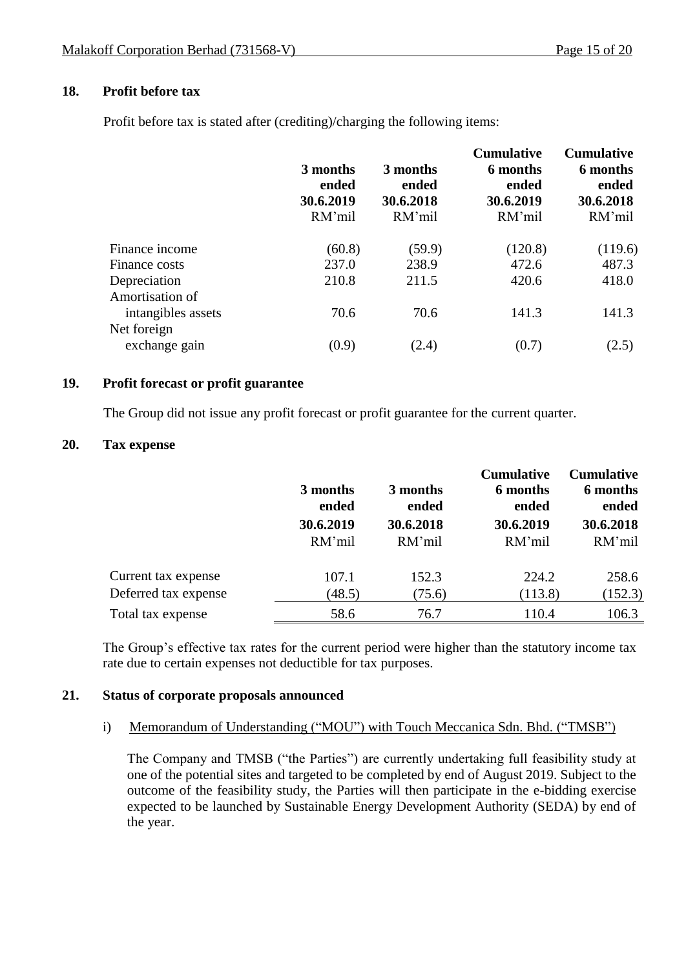#### **18. Profit before tax**

Profit before tax is stated after (crediting)/charging the following items:

|                                       | 3 months<br>ended<br>30.6.2019<br>RM'mil | 3 months<br>ended<br>30.6.2018<br>RM'mil | <b>Cumulative</b><br>6 months<br>ended<br>30.6.2019<br>RM'mil | <b>Cumulative</b><br>6 months<br>ended<br>30.6.2018<br>RM'mil |
|---------------------------------------|------------------------------------------|------------------------------------------|---------------------------------------------------------------|---------------------------------------------------------------|
| Finance income                        | (60.8)                                   | (59.9)                                   | (120.8)                                                       | (119.6)                                                       |
| Finance costs                         | 237.0                                    | 238.9                                    | 472.6                                                         | 487.3                                                         |
| Depreciation                          | 210.8                                    | 211.5                                    | 420.6                                                         | 418.0                                                         |
| Amortisation of<br>intangibles assets | 70.6                                     | 70.6                                     | 141.3                                                         | 141.3                                                         |
| Net foreign                           |                                          |                                          |                                                               |                                                               |
| exchange gain                         | (0.9)                                    | (2.4)                                    | (0.7)                                                         | (2.5)                                                         |

#### **19. Profit forecast or profit guarantee**

The Group did not issue any profit forecast or profit guarantee for the current quarter.

#### **20. Tax expense**

|                                             | 3 months<br>ended<br>30.6.2019<br>RM'mil | 3 months<br>ended<br>30.6.2018<br>RM'mil | <b>Cumulative</b><br>6 months<br>ended<br>30.6.2019<br>RM'mil | <b>Cumulative</b><br>6 months<br>ended<br>30.6.2018<br>RM'mil |
|---------------------------------------------|------------------------------------------|------------------------------------------|---------------------------------------------------------------|---------------------------------------------------------------|
| Current tax expense<br>Deferred tax expense | 107.1<br>(48.5)                          | 152.3<br>(75.6)                          | 224.2<br>(113.8)                                              | 258.6<br>(152.3)                                              |
| Total tax expense                           | 58.6                                     | 76.7                                     | 110.4                                                         | 106.3                                                         |

The Group's effective tax rates for the current period were higher than the statutory income tax rate due to certain expenses not deductible for tax purposes.

#### **21. Status of corporate proposals announced**

#### i) Memorandum of Understanding ("MOU") with Touch Meccanica Sdn. Bhd. ("TMSB")

The Company and TMSB ("the Parties") are currently undertaking full feasibility study at one of the potential sites and targeted to be completed by end of August 2019. Subject to the outcome of the feasibility study, the Parties will then participate in the e-bidding exercise expected to be launched by Sustainable Energy Development Authority (SEDA) by end of the year.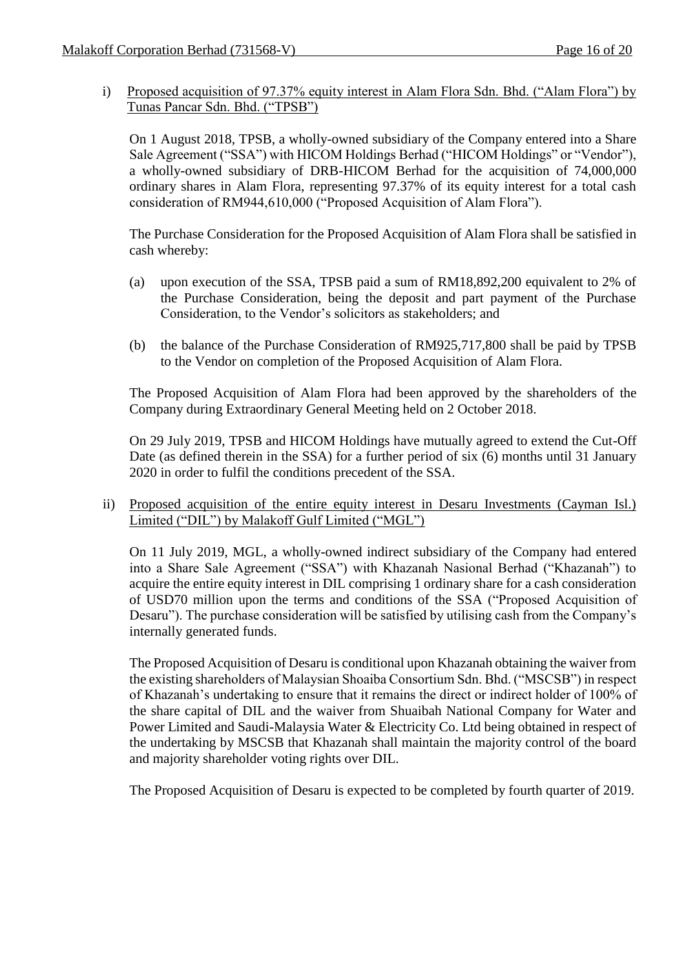i) Proposed acquisition of 97.37% equity interest in Alam Flora Sdn. Bhd. ("Alam Flora") by Tunas Pancar Sdn. Bhd. ("TPSB")

On 1 August 2018, TPSB, a wholly-owned subsidiary of the Company entered into a Share Sale Agreement ("SSA") with HICOM Holdings Berhad ("HICOM Holdings" or "Vendor"), a wholly-owned subsidiary of DRB-HICOM Berhad for the acquisition of 74,000,000 ordinary shares in Alam Flora, representing 97.37% of its equity interest for a total cash consideration of RM944,610,000 ("Proposed Acquisition of Alam Flora").

The Purchase Consideration for the Proposed Acquisition of Alam Flora shall be satisfied in cash whereby:

- (a) upon execution of the SSA, TPSB paid a sum of RM18,892,200 equivalent to 2% of the Purchase Consideration, being the deposit and part payment of the Purchase Consideration, to the Vendor's solicitors as stakeholders; and
- (b) the balance of the Purchase Consideration of RM925,717,800 shall be paid by TPSB to the Vendor on completion of the Proposed Acquisition of Alam Flora.

The Proposed Acquisition of Alam Flora had been approved by the shareholders of the Company during Extraordinary General Meeting held on 2 October 2018.

On 29 July 2019, TPSB and HICOM Holdings have mutually agreed to extend the Cut-Off Date (as defined therein in the SSA) for a further period of six (6) months until 31 January 2020 in order to fulfil the conditions precedent of the SSA.

ii) Proposed acquisition of the entire equity interest in Desaru Investments (Cayman Isl.) Limited ("DIL") by Malakoff Gulf Limited ("MGL")

On 11 July 2019, MGL, a wholly-owned indirect subsidiary of the Company had entered into a Share Sale Agreement ("SSA") with Khazanah Nasional Berhad ("Khazanah") to acquire the entire equity interest in DIL comprising 1 ordinary share for a cash consideration of USD70 million upon the terms and conditions of the SSA ("Proposed Acquisition of Desaru"). The purchase consideration will be satisfied by utilising cash from the Company's internally generated funds.

The Proposed Acquisition of Desaru is conditional upon Khazanah obtaining the waiver from the existing shareholders of Malaysian Shoaiba Consortium Sdn. Bhd. ("MSCSB") in respect of Khazanah's undertaking to ensure that it remains the direct or indirect holder of 100% of the share capital of DIL and the waiver from Shuaibah National Company for Water and Power Limited and Saudi-Malaysia Water & Electricity Co. Ltd being obtained in respect of the undertaking by MSCSB that Khazanah shall maintain the majority control of the board and majority shareholder voting rights over DIL.

The Proposed Acquisition of Desaru is expected to be completed by fourth quarter of 2019.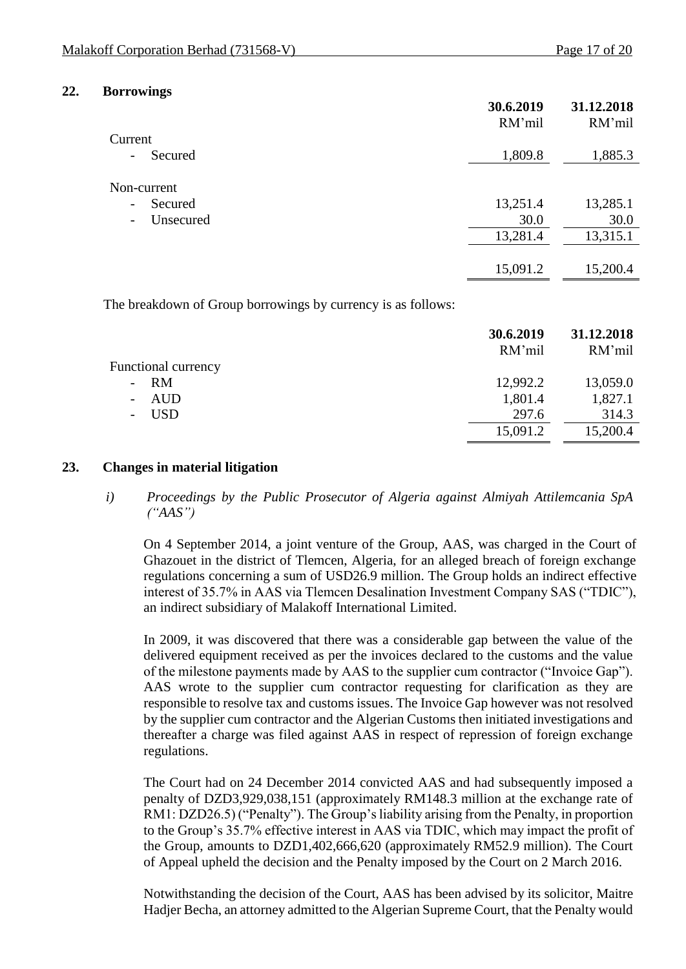#### **22. Borrowings**

| RM'mil   | 31.12.2018<br>RM'mil |
|----------|----------------------|
|          |                      |
| 1,809.8  | 1,885.3              |
|          |                      |
| 13,251.4 | 13,285.1             |
| 30.0     | 30.0                 |
| 13,281.4 | 13,315.1             |
| 15,091.2 | 15,200.4             |
|          | 30.6.2019            |

The breakdown of Group borrowings by currency is as follows:

|                            | 30.6.2019<br>RM'mil | 31.12.2018<br>RM'mil |
|----------------------------|---------------------|----------------------|
| <b>Functional currency</b> |                     |                      |
| $- RM$                     | 12,992.2            | 13,059.0             |
| AUD                        | 1,801.4             | 1,827.1              |
| USD                        | 297.6               | 314.3                |
|                            | 15,091.2            | 15,200.4             |

#### **23. Changes in material litigation**

#### *i) Proceedings by the Public Prosecutor of Algeria against Almiyah Attilemcania SpA ("AAS")*

On 4 September 2014, a joint venture of the Group, AAS, was charged in the Court of Ghazouet in the district of Tlemcen, Algeria, for an alleged breach of foreign exchange regulations concerning a sum of USD26.9 million. The Group holds an indirect effective interest of 35.7% in AAS via Tlemcen Desalination Investment Company SAS ("TDIC"), an indirect subsidiary of Malakoff International Limited.

In 2009, it was discovered that there was a considerable gap between the value of the delivered equipment received as per the invoices declared to the customs and the value of the milestone payments made by AAS to the supplier cum contractor ("Invoice Gap"). AAS wrote to the supplier cum contractor requesting for clarification as they are responsible to resolve tax and customs issues. The Invoice Gap however was not resolved by the supplier cum contractor and the Algerian Customs then initiated investigations and thereafter a charge was filed against AAS in respect of repression of foreign exchange regulations.

The Court had on 24 December 2014 convicted AAS and had subsequently imposed a penalty of DZD3,929,038,151 (approximately RM148.3 million at the exchange rate of RM1: DZD26.5) ("Penalty"). The Group's liability arising from the Penalty, in proportion to the Group's 35.7% effective interest in AAS via TDIC, which may impact the profit of the Group, amounts to DZD1,402,666,620 (approximately RM52.9 million). The Court of Appeal upheld the decision and the Penalty imposed by the Court on 2 March 2016.

Notwithstanding the decision of the Court, AAS has been advised by its solicitor, Maitre Hadjer Becha, an attorney admitted to the Algerian Supreme Court, that the Penalty would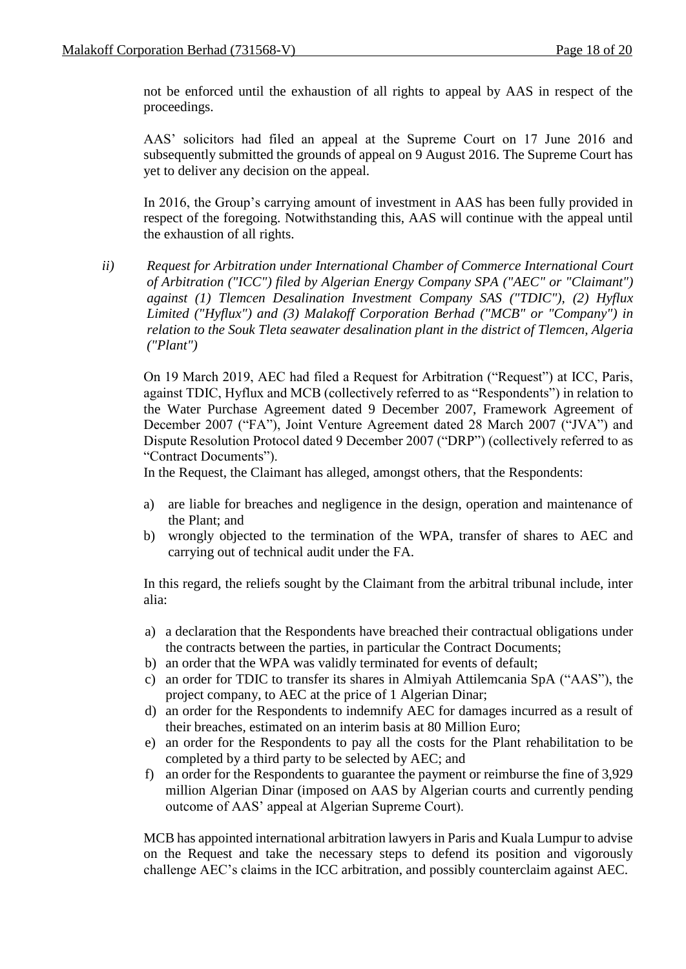not be enforced until the exhaustion of all rights to appeal by AAS in respect of the proceedings.

AAS' solicitors had filed an appeal at the Supreme Court on 17 June 2016 and subsequently submitted the grounds of appeal on 9 August 2016. The Supreme Court has yet to deliver any decision on the appeal.

In 2016, the Group's carrying amount of investment in AAS has been fully provided in respect of the foregoing. Notwithstanding this, AAS will continue with the appeal until the exhaustion of all rights.

*ii) Request for Arbitration under International Chamber of Commerce International Court of Arbitration ("ICC") filed by Algerian Energy Company SPA ("AEC" or "Claimant") against (1) Tlemcen Desalination Investment Company SAS ("TDIC"), (2) Hyflux Limited ("Hyflux") and (3) Malakoff Corporation Berhad ("MCB" or "Company") in relation to the Souk Tleta seawater desalination plant in the district of Tlemcen, Algeria ("Plant")*

On 19 March 2019, AEC had filed a Request for Arbitration ("Request") at ICC, Paris, against TDIC, Hyflux and MCB (collectively referred to as "Respondents") in relation to the Water Purchase Agreement dated 9 December 2007, Framework Agreement of December 2007 ("FA"), Joint Venture Agreement dated 28 March 2007 ("JVA") and Dispute Resolution Protocol dated 9 December 2007 ("DRP") (collectively referred to as "Contract Documents").

In the Request, the Claimant has alleged, amongst others, that the Respondents:

- a) are liable for breaches and negligence in the design, operation and maintenance of the Plant; and
- b) wrongly objected to the termination of the WPA, transfer of shares to AEC and carrying out of technical audit under the FA.

In this regard, the reliefs sought by the Claimant from the arbitral tribunal include, inter alia:

- a) a declaration that the Respondents have breached their contractual obligations under the contracts between the parties, in particular the Contract Documents;
- b) an order that the WPA was validly terminated for events of default;
- c) an order for TDIC to transfer its shares in Almiyah Attilemcania SpA ("AAS"), the project company, to AEC at the price of 1 Algerian Dinar;
- d) an order for the Respondents to indemnify AEC for damages incurred as a result of their breaches, estimated on an interim basis at 80 Million Euro;
- e) an order for the Respondents to pay all the costs for the Plant rehabilitation to be completed by a third party to be selected by AEC; and
- f) an order for the Respondents to guarantee the payment or reimburse the fine of 3,929 million Algerian Dinar (imposed on AAS by Algerian courts and currently pending outcome of AAS' appeal at Algerian Supreme Court).

MCB has appointed international arbitration lawyers in Paris and Kuala Lumpur to advise on the Request and take the necessary steps to defend its position and vigorously challenge AEC's claims in the ICC arbitration, and possibly counterclaim against AEC.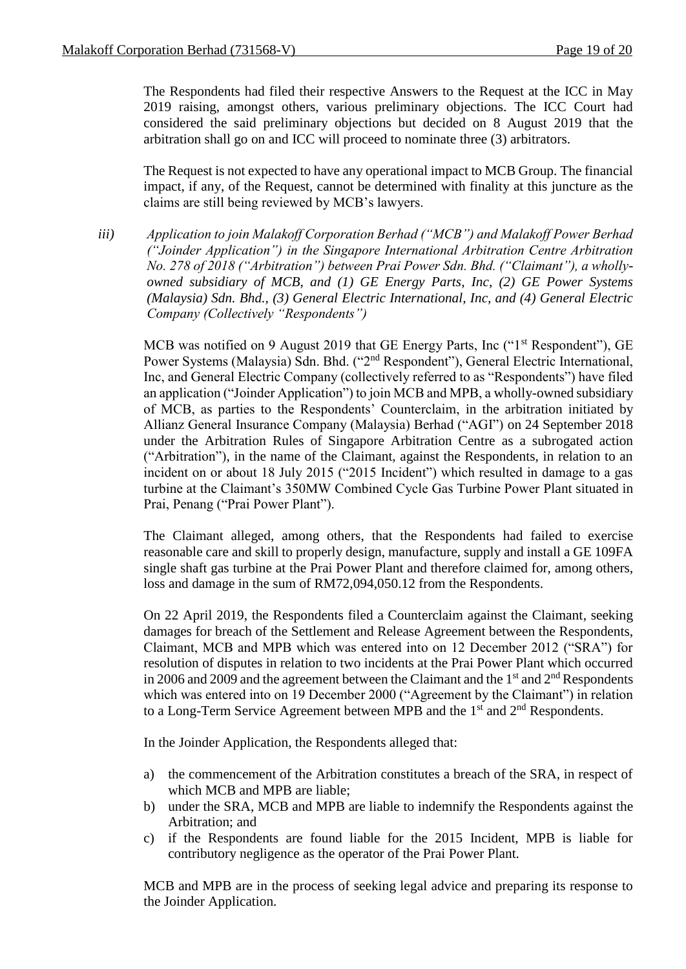The Respondents had filed their respective Answers to the Request at the ICC in May 2019 raising, amongst others, various preliminary objections. The ICC Court had considered the said preliminary objections but decided on 8 August 2019 that the arbitration shall go on and ICC will proceed to nominate three (3) arbitrators.

The Request is not expected to have any operational impact to MCB Group. The financial impact, if any, of the Request, cannot be determined with finality at this juncture as the claims are still being reviewed by MCB's lawyers.

*iii) Application to join Malakoff Corporation Berhad ("MCB") and Malakoff Power Berhad ("Joinder Application") in the Singapore International Arbitration Centre Arbitration No. 278 of 2018 ("Arbitration") between Prai Power Sdn. Bhd. ("Claimant"), a whollyowned subsidiary of MCB, and (1) GE Energy Parts, Inc, (2) GE Power Systems (Malaysia) Sdn. Bhd., (3) General Electric International, Inc, and (4) General Electric Company (Collectively "Respondents")*

MCB was notified on 9 August 2019 that GE Energy Parts, Inc ("1<sup>st</sup> Respondent"), GE Power Systems (Malaysia) Sdn. Bhd. ("2<sup>nd</sup> Respondent"), General Electric International, Inc, and General Electric Company (collectively referred to as "Respondents") have filed an application ("Joinder Application") to join MCB and MPB, a wholly-owned subsidiary of MCB, as parties to the Respondents' Counterclaim, in the arbitration initiated by Allianz General Insurance Company (Malaysia) Berhad ("AGI") on 24 September 2018 under the Arbitration Rules of Singapore Arbitration Centre as a subrogated action ("Arbitration"), in the name of the Claimant, against the Respondents, in relation to an incident on or about 18 July 2015 ("2015 Incident") which resulted in damage to a gas turbine at the Claimant's 350MW Combined Cycle Gas Turbine Power Plant situated in Prai, Penang ("Prai Power Plant").

The Claimant alleged, among others, that the Respondents had failed to exercise reasonable care and skill to properly design, manufacture, supply and install a GE 109FA single shaft gas turbine at the Prai Power Plant and therefore claimed for, among others, loss and damage in the sum of RM72,094,050.12 from the Respondents.

On 22 April 2019, the Respondents filed a Counterclaim against the Claimant, seeking damages for breach of the Settlement and Release Agreement between the Respondents, Claimant, MCB and MPB which was entered into on 12 December 2012 ("SRA") for resolution of disputes in relation to two incidents at the Prai Power Plant which occurred in 2006 and 2009 and the agreement between the Claimant and the  $1<sup>st</sup>$  and  $2<sup>nd</sup>$  Respondents which was entered into on 19 December 2000 ("Agreement by the Claimant") in relation to a Long-Term Service Agreement between MPB and the  $1<sup>st</sup>$  and  $2<sup>nd</sup>$  Respondents.

In the Joinder Application, the Respondents alleged that:

- a) the commencement of the Arbitration constitutes a breach of the SRA, in respect of which MCB and MPB are liable;
- b) under the SRA, MCB and MPB are liable to indemnify the Respondents against the Arbitration; and
- c) if the Respondents are found liable for the 2015 Incident, MPB is liable for contributory negligence as the operator of the Prai Power Plant.

MCB and MPB are in the process of seeking legal advice and preparing its response to the Joinder Application.